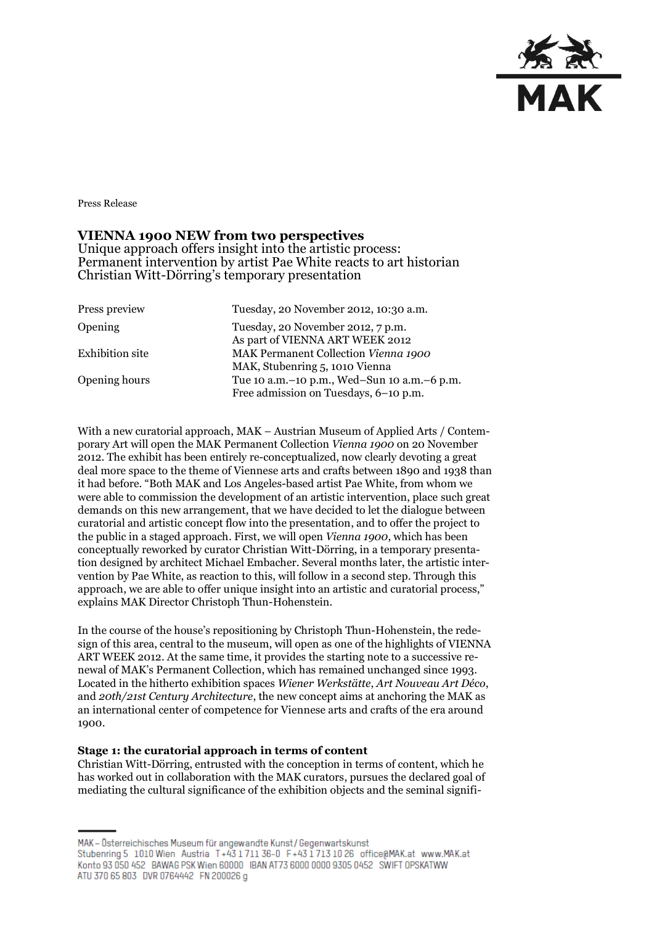

Press Release

# **VIENNA 1900 NEW from two perspectives**

Unique approach offers insight into the artistic process: Permanent intervention by artist Pae White reacts to art historian Christian Witt-Dörring's temporary presentation

| Press preview          | Tuesday, 20 November 2012, 10:30 a.m.                                                |
|------------------------|--------------------------------------------------------------------------------------|
| <b>Opening</b>         | Tuesday, 20 November 2012, 7 p.m.<br>As part of VIENNA ART WEEK 2012                 |
| <b>Exhibition site</b> | MAK Permanent Collection Vienna 1900                                                 |
|                        | MAK, Stubenring 5, 1010 Vienna                                                       |
| Opening hours          | Tue 10 a.m.-10 p.m., Wed-Sun 10 a.m.-6 p.m.<br>Free admission on Tuesdays, 6-10 p.m. |

With a new curatorial approach, MAK – Austrian Museum of Applied Arts / Contemporary Art will open the MAK Permanent Collection *Vienna 1900* on 20 November 2012. The exhibit has been entirely re-conceptualized, now clearly devoting a great deal more space to the theme of Viennese arts and crafts between 1890 and 1938 than it had before. "Both MAK and Los Angeles-based artist Pae White, from whom we were able to commission the development of an artistic intervention, place such great demands on this new arrangement, that we have decided to let the dialogue between curatorial and artistic concept flow into the presentation, and to offer the project to the public in a staged approach. First, we will open *Vienna 1900*, which has been conceptually reworked by curator Christian Witt-Dörring, in a temporary presentation designed by architect Michael Embacher. Several months later, the artistic intervention by Pae White, as reaction to this, will follow in a second step. Through this approach, we are able to offer unique insight into an artistic and curatorial process," explains MAK Director Christoph Thun-Hohenstein.

In the course of the house's repositioning by Christoph Thun-Hohenstein, the redesign of this area, central to the museum, will open as one of the highlights of VIENNA ART WEEK 2012. At the same time, it provides the starting note to a successive renewal of MAK's Permanent Collection, which has remained unchanged since 1993. Located in the hitherto exhibition spaces *Wiener Werkstätte*, *Art Nouveau Art Déco*, and *20th/21st Century Architecture*, the new concept aims at anchoring the MAK as an international center of competence for Viennese arts and crafts of the era around 1900.

#### **Stage 1: the curatorial approach in terms of content**

Christian Witt-Dörring, entrusted with the conception in terms of content, which he has worked out in collaboration with the MAK curators, pursues the declared goal of mediating the cultural significance of the exhibition objects and the seminal signifi-

MAK - Österreichisches Museum für angewandte Kunst / Gegenwartskunst Stubenring 5 1010 Wien Austria T+43 1711 36-0 F+43 1713 10 26 office@MAK.at www.MAK.at Konto 93 050 452 BAWAG PSK Wien 60000 BAN AT73 6000 0000 9305 0452 SWIFT OPSKATWW ATU 370 65 803 DVR 0764442 FN 200026 g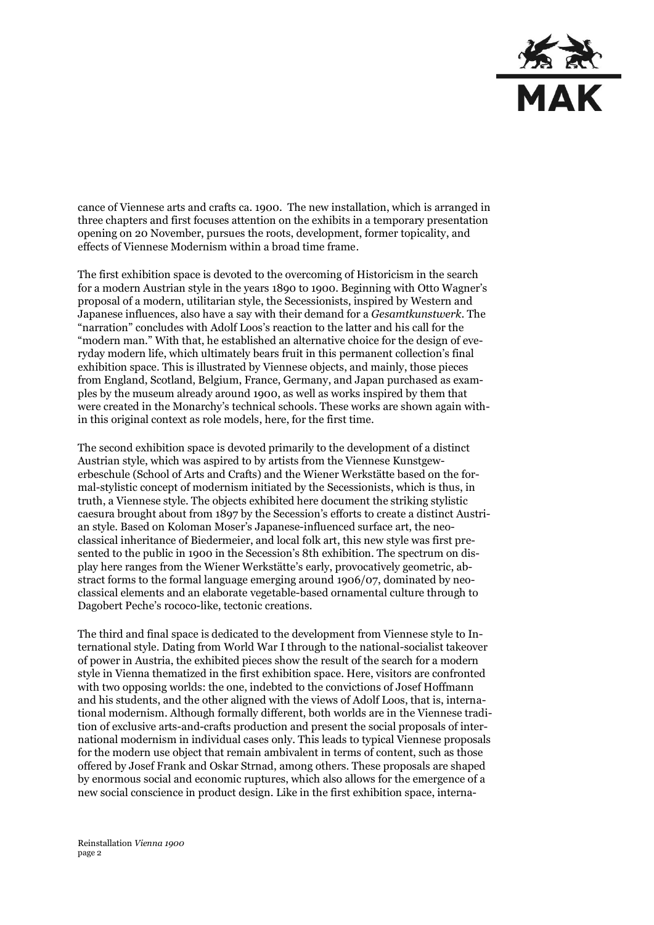

cance of Viennese arts and crafts ca. 1900. The new installation, which is arranged in three chapters and first focuses attention on the exhibits in a temporary presentation opening on 20 November, pursues the roots, development, former topicality, and effects of Viennese Modernism within a broad time frame.

The first exhibition space is devoted to the overcoming of Historicism in the search for a modern Austrian style in the years 1890 to 1900. Beginning with Otto Wagner's proposal of a modern, utilitarian style, the Secessionists, inspired by Western and Japanese influences, also have a say with their demand for a *Gesamtkunstwerk*. The "narration" concludes with Adolf Loos's reaction to the latter and his call for the "modern man." With that, he established an alternative choice for the design of everyday modern life, which ultimately bears fruit in this permanent collection's final exhibition space. This is illustrated by Viennese objects, and mainly, those pieces from England, Scotland, Belgium, France, Germany, and Japan purchased as examples by the museum already around 1900, as well as works inspired by them that were created in the Monarchy's technical schools. These works are shown again within this original context as role models, here, for the first time.

The second exhibition space is devoted primarily to the development of a distinct Austrian style, which was aspired to by artists from the Viennese Kunstgewerbeschule (School of Arts and Crafts) and the Wiener Werkstätte based on the formal-stylistic concept of modernism initiated by the Secessionists, which is thus, in truth, a Viennese style. The objects exhibited here document the striking stylistic caesura brought about from 1897 by the Secession's efforts to create a distinct Austrian style. Based on Koloman Moser's Japanese-influenced surface art, the neoclassical inheritance of Biedermeier, and local folk art, this new style was first presented to the public in 1900 in the Secession's 8th exhibition. The spectrum on display here ranges from the Wiener Werkstätte's early, provocatively geometric, abstract forms to the formal language emerging around 1906/07, dominated by neoclassical elements and an elaborate vegetable-based ornamental culture through to Dagobert Peche's rococo-like, tectonic creations.

The third and final space is dedicated to the development from Viennese style to International style. Dating from World War I through to the national-socialist takeover of power in Austria, the exhibited pieces show the result of the search for a modern style in Vienna thematized in the first exhibition space. Here, visitors are confronted with two opposing worlds: the one, indebted to the convictions of Josef Hoffmann and his students, and the other aligned with the views of Adolf Loos, that is, international modernism. Although formally different, both worlds are in the Viennese tradition of exclusive arts-and-crafts production and present the social proposals of international modernism in individual cases only. This leads to typical Viennese proposals for the modern use object that remain ambivalent in terms of content, such as those offered by Josef Frank and Oskar Strnad, among others. These proposals are shaped by enormous social and economic ruptures, which also allows for the emergence of a new social conscience in product design. Like in the first exhibition space, interna-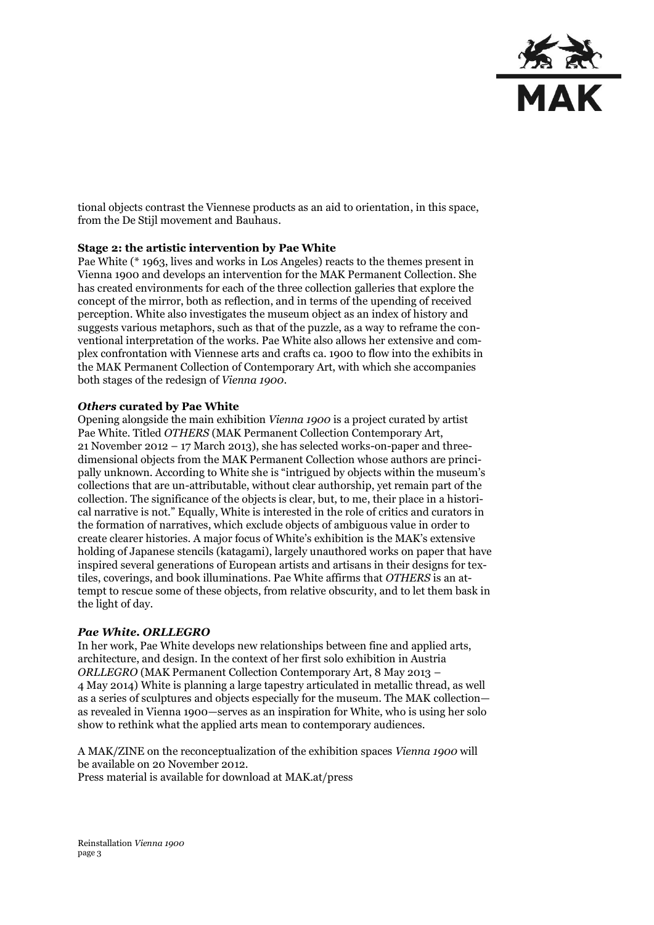

tional objects contrast the Viennese products as an aid to orientation, in this space, from the De Stijl movement and Bauhaus.

### **Stage 2: the artistic intervention by Pae White**

Pae White (\* 1963, lives and works in Los Angeles) reacts to the themes present in Vienna 1900 and develops an intervention for the MAK Permanent Collection. She has created environments for each of the three collection galleries that explore the concept of the mirror, both as reflection, and in terms of the upending of received perception. White also investigates the museum object as an index of history and suggests various metaphors, such as that of the puzzle, as a way to reframe the conventional interpretation of the works. Pae White also allows her extensive and complex confrontation with Viennese arts and crafts ca. 1900 to flow into the exhibits in the MAK Permanent Collection of Contemporary Art, with which she accompanies both stages of the redesign of *Vienna 1900*.

#### *Others* **curated by Pae White**

Opening alongside the main exhibition *Vienna 1900* is a project curated by artist Pae White. Titled *OTHERS* (MAK Permanent Collection Contemporary Art, 21 November 2012 – 17 March 2013), she has selected works-on-paper and threedimensional objects from the MAK Permanent Collection whose authors are principally unknown. According to White she is "intrigued by objects within the museum's collections that are un-attributable, without clear authorship, yet remain part of the collection. The significance of the objects is clear, but, to me, their place in a historical narrative is not." Equally, White is interested in the role of critics and curators in the formation of narratives, which exclude objects of ambiguous value in order to create clearer histories. A major focus of White's exhibition is the MAK's extensive holding of Japanese stencils (katagami), largely unauthored works on paper that have inspired several generations of European artists and artisans in their designs for textiles, coverings, and book illuminations. Pae White affirms that *OTHERS* is an attempt to rescue some of these objects, from relative obscurity, and to let them bask in the light of day.

### *Pae White. ORLLEGRO*

In her work, Pae White develops new relationships between fine and applied arts, architecture, and design. In the context of her first solo exhibition in Austria *ORLLEGRO* (MAK Permanent Collection Contemporary Art, 8 May 2013 – 4 May 2014) White is planning a large tapestry articulated in metallic thread, as well as a series of sculptures and objects especially for the museum. The MAK collection as revealed in Vienna 1900—serves as an inspiration for White, who is using her solo show to rethink what the applied arts mean to contemporary audiences.

A MAK/ZINE on the reconceptualization of the exhibition spaces *Vienna 1900* will be available on 20 November 2012. Press material is available for download at MAK.at/press

Reinstallation *Vienna 1900* page 3